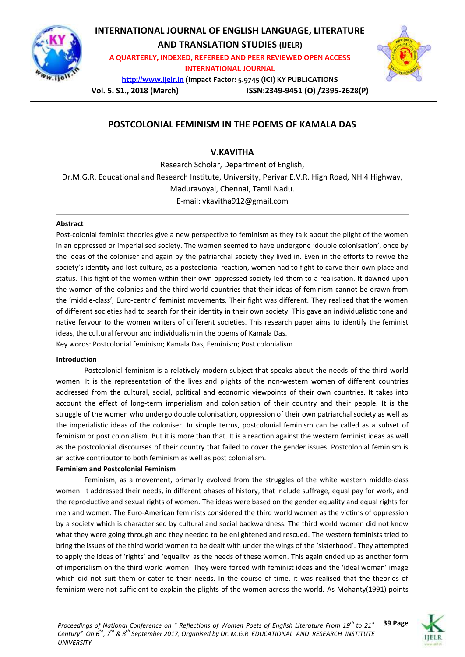

# **INTERNATIONAL JOURNAL OF ENGLISH LANGUAGE, LITERATURE AND TRANSLATION STUDIES (IJELR)**

**A QUARTERLY, INDEXED, REFEREED AND PEER REVIEWED OPEN ACCESS INTERNATIONAL JOURNAL**

**[http://www.ijelr.in](http://www.ijelr.in/) (Impact Factor: 5.9745 (ICI) KY PUBLICATIONS**



**Vol. 5. S1., 2018 (March) ISSN:2349-9451 (O) /2395-2628(P)**

# **POSTCOLONIAL FEMINISM IN THE POEMS OF KAMALA DAS**

## **V.KAVITHA**

Research Scholar, Department of English, Dr.M.G.R. Educational and Research Institute, University, Periyar E.V.R. High Road, NH 4 Highway, Maduravoyal, Chennai, Tamil Nadu. E-mail: vkavitha912@gmail.com

#### **Abstract**

Post-colonial feminist theories give a new perspective to feminism as they talk about the plight of the women in an oppressed or imperialised society. The women seemed to have undergone 'double colonisation', once by the ideas of the coloniser and again by the patriarchal society they lived in. Even in the efforts to revive the society's identity and lost culture, as a postcolonial reaction, women had to fight to carve their own place and status. This fight of the women within their own oppressed society led them to a realisation. It dawned upon the women of the colonies and the third world countries that their ideas of feminism cannot be drawn from the 'middle-class', Euro-centric' feminist movements. Their fight was different. They realised that the women of different societies had to search for their identity in their own society. This gave an individualistic tone and native fervour to the women writers of different societies. This research paper aims to identify the feminist ideas, the cultural fervour and individualism in the poems of Kamala Das.

Key words: Postcolonial feminism; Kamala Das; Feminism; Post colonialism

#### **Introduction**

Postcolonial feminism is a relatively modern subject that speaks about the needs of the third world women. It is the representation of the lives and plights of the non-western women of different countries addressed from the cultural, social, political and economic viewpoints of their own countries. It takes into account the effect of long-term imperialism and colonisation of their country and their people. It is the struggle of the women who undergo double colonisation, oppression of their own patriarchal society as well as the imperialistic ideas of the coloniser. In simple terms, postcolonial feminism can be called as a subset of feminism or post colonialism. But it is more than that. It is a reaction against the western feminist ideas as well as the postcolonial discourses of their country that failed to cover the gender issues. Postcolonial feminism is an active contributor to both feminism as well as post colonialism.

### **Feminism and Postcolonial Feminism**

Feminism, as a movement, primarily evolved from the struggles of the white western middle-class women. It addressed their needs, in different phases of history, that include suffrage, equal pay for work, and the reproductive and sexual rights of women. The ideas were based on the gender equality and equal rights for men and women. The Euro-American feminists considered the third world women as the victims of oppression by a society which is characterised by cultural and social backwardness. The third world women did not know what they were going through and they needed to be enlightened and rescued. The western feminists tried to bring the issues of the third world women to be dealt with under the wings of the 'sisterhood'. They attempted to apply the ideas of 'rights' and 'equality' as the needs of these women. This again ended up as another form of imperialism on the third world women. They were forced with feminist ideas and the 'ideal woman' image which did not suit them or cater to their needs. In the course of time, it was realised that the theories of feminism were not sufficient to explain the plights of the women across the world. As Mohanty(1991) points

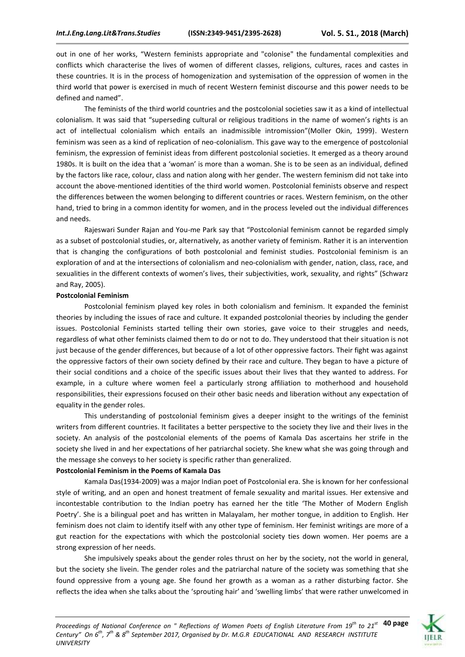out in one of her works, "Western feminists appropriate and "colonise" the fundamental complexities and conflicts which characterise the lives of women of different classes, religions, cultures, races and castes in these countries. It is in the process of homogenization and systemisation of the oppression of women in the third world that power is exercised in much of recent Western feminist discourse and this power needs to be defined and named".

The feminists of the third world countries and the postcolonial societies saw it as a kind of intellectual colonialism. It was said that "superseding cultural or religious traditions in the name of women's rights is an act of intellectual colonialism which entails an inadmissible intromission"(Moller Okin, 1999). Western feminism was seen as a kind of replication of neo-colonialism. This gave way to the emergence of postcolonial feminism, the expression of feminist ideas from different postcolonial societies. It emerged as a theory around 1980s. It is built on the idea that a 'woman' is more than a woman. She is to be seen as an individual, defined by the factors like race, colour, class and nation along with her gender. The western feminism did not take into account the above-mentioned identities of the third world women. Postcolonial feminists observe and respect the differences between the women belonging to different countries or races. Western feminism, on the other hand, tried to bring in a common identity for women, and in the process leveled out the individual differences and needs.

Rajeswari Sunder Rajan and You-me Park say that "Postcolonial feminism cannot be regarded simply as a subset of postcolonial studies, or, alternatively, as another variety of feminism. Rather it is an intervention that is changing the configurations of both postcolonial and feminist studies. Postcolonial feminism is an exploration of and at the intersections of colonialism and neo-colonialism with gender, nation, class, race, and sexualities in the different contexts of women's lives, their subjectivities, work, sexuality, and rights" (Schwarz and Ray, 2005).

#### **Postcolonial Feminism**

Postcolonial feminism played key roles in both colonialism and feminism. It expanded the feminist theories by including the issues of race and culture. It expanded postcolonial theories by including the gender issues. Postcolonial Feminists started telling their own stories, gave voice to their struggles and needs, regardless of what other feminists claimed them to do or not to do. They understood that their situation is not just because of the gender differences, but because of a lot of other oppressive factors. Their fight was against the oppressive factors of their own society defined by their race and culture. They began to have a picture of their social conditions and a choice of the specific issues about their lives that they wanted to address. For example, in a culture where women feel a particularly strong affiliation to motherhood and household responsibilities, their expressions focused on their other basic needs and liberation without any expectation of equality in the gender roles.

This understanding of postcolonial feminism gives a deeper insight to the writings of the feminist writers from different countries. It facilitates a better perspective to the society they live and their lives in the society. An analysis of the postcolonial elements of the poems of Kamala Das ascertains her strife in the society she lived in and her expectations of her patriarchal society. She knew what she was going through and the message she conveys to her society is specific rather than generalized.

#### **Postcolonial Feminism in the Poems of Kamala Das**

Kamala Das(1934-2009) was a major Indian poet of Postcolonial era. She is known for her confessional style of writing, and an open and honest treatment of female sexuality and marital issues. Her extensive and incontestable contribution to the Indian poetry has earned her the title 'The Mother of Modern English Poetry'. She is a bilingual poet and has written in Malayalam, her mother tongue, in addition to English. Her feminism does not claim to identify itself with any other type of feminism. Her feminist writings are more of a gut reaction for the expectations with which the postcolonial society ties down women. Her poems are a strong expression of her needs.

She impulsively speaks about the gender roles thrust on her by the society, not the world in general, but the society she livein. The gender roles and the patriarchal nature of the society was something that she found oppressive from a young age. She found her growth as a woman as a rather disturbing factor. She reflects the idea when she talks about the 'sprouting hair' and 'swelling limbs' that were rather unwelcomed in

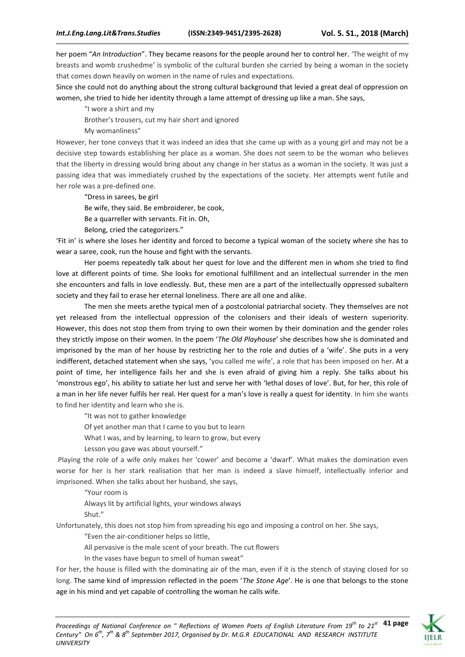her poem "*An Introduction*". They became reasons for the people around her to control her. 'The weight of my breasts and womb crushedme' is symbolic of the cultural burden she carried by being a woman in the society that comes down heavily on women in the name of rules and expectations.

Since she could not do anything about the strong cultural background that levied a great deal of oppression on women, she tried to hide her identity through a lame attempt of dressing up like a man. She says,

"I wore a shirt and my

Brother's trousers, cut my hair short and ignored

My womanliness"

However, her tone conveys that it was indeed an idea that she came up with as a young girl and may not be a decisive step towards establishing her place as a woman. She does not seem to be the woman who believes that the liberty in dressing would bring about any change in her status as a woman in the society. It was just a passing idea that was immediately crushed by the expectations of the society. Her attempts went futile and her role was a pre-defined one.

"Dress in sarees, be girl

Be wife, they said. Be embroiderer, be cook,

Be a quarreller with servants. Fit in. Oh,

Belong, cried the categorizers."

'Fit in' is where she loses her identity and forced to become a typical woman of the society where she has to wear a saree, cook, run the house and fight with the servants.

Her poems repeatedly talk about her quest for love and the different men in whom she tried to find love at different points of time. She looks for emotional fulfillment and an intellectual surrender in the men she encounters and falls in love endlessly. But, these men are a part of the intellectually oppressed subaltern society and they fail to erase her eternal loneliness. There are all one and alike.

The men she meets arethe typical men of a postcolonial patriarchal society. They themselves are not yet released from the intellectual oppression of the colonisers and their ideals of western superiority. However, this does not stop them from trying to own their women by their domination and the gender roles they strictly impose on their women. In the poem '*The Old Playhouse*' she describes how she is dominated and imprisoned by the man of her house by restricting her to the role and duties of a 'wife'. She puts in a very indifferent, detached statement when she says, 'you called me wife', a role that has been imposed on her. At a point of time, her intelligence fails her and she is even afraid of giving him a reply. She talks about his 'monstrous ego', his ability to satiate her lust and serve her with 'lethal doses of love'. But, for her, this role of a man in her life never fulfils her real. Her quest for a man's love is really a quest for identity. In him she wants to find her identity and learn who she is.

"It was not to gather knowledge

Of yet another man that I came to you but to learn

What I was, and by learning, to learn to grow, but every

Lesson you gave was about yourself."

Playing the role of a wife only makes her 'cower' and become a 'dwarf'. What makes the domination even worse for her is her stark realisation that her man is indeed a slave himself, intellectually inferior and imprisoned. When she talks about her husband, she says,

"Your room is

Always lit by artificial lights, your windows always

Shut."

Unfortunately, this does not stop him from spreading his ego and imposing a control on her. She says,

"Even the air-conditioner helps so little,

All pervasive is the male scent of your breath. The cut flowers

In the vases have begun to smell of human sweat"

For her, the house is filled with the dominating air of the man, even if it is the stench of staying closed for so long. The same kind of impression reflected in the poem '*The Stone Age*'. He is one that belongs to the stone age in his mind and yet capable of controlling the woman he calls wife.

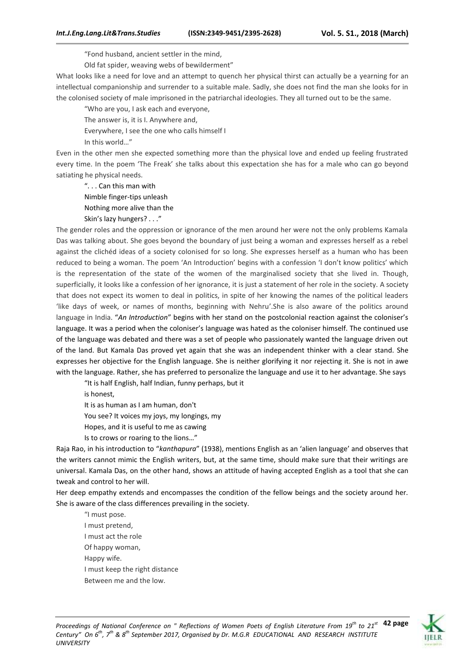"Fond husband, ancient settler in the mind,

Old fat spider, weaving webs of bewilderment"

What looks like a need for love and an attempt to quench her physical thirst can actually be a yearning for an intellectual companionship and surrender to a suitable male. Sadly, she does not find the man she looks for in the colonised society of male imprisoned in the patriarchal ideologies. They all turned out to be the same.

"Who are you, I ask each and everyone,

The answer is, it is I. Anywhere and,

Everywhere, I see the one who calls himself I

In this world…"

Even in the other men she expected something more than the physical love and ended up feeling frustrated every time. In the poem 'The Freak' she talks about this expectation she has for a male who can go beyond satiating he physical needs.

". . . Can this man with Nimble finger-tips unleash Nothing more alive than the Skin's lazy hungers? . . ."

The gender roles and the oppression or ignorance of the men around her were not the only problems Kamala Das was talking about. She goes beyond the boundary of just being a woman and expresses herself as a rebel against the clichéd ideas of a society colonised for so long. She expresses herself as a human who has been reduced to being a woman. The poem 'An Introduction' begins with a confession 'I don't know politics' which is the representation of the state of the women of the marginalised society that she lived in. Though, superficially, it looks like a confession of her ignorance, it is just a statement of her role in the society. A society that does not expect its women to deal in politics, in spite of her knowing the names of the political leaders 'like days of week, or names of months, beginning with Nehru'.She is also aware of the politics around language in India. "*An Introduction*" begins with her stand on the postcolonial reaction against the coloniser's language. It was a period when the coloniser's language was hated as the coloniser himself. The continued use of the language was debated and there was a set of people who passionately wanted the language driven out of the land. But Kamala Das proved yet again that she was an independent thinker with a clear stand. She expresses her objective for the English language. She is neither glorifying it nor rejecting it. She is not in awe with the language. Rather, she has preferred to personalize the language and use it to her advantage. She says

"It is half English, half Indian, funny perhaps, but it

is honest,

It is as human as I am human, don't

You see? It voices my joys, my longings, my

Hopes, and it is useful to me as cawing

Is to crows or roaring to the lions…"

Raja Rao, in his introduction to "*kanthapura*" (1938), mentions English as an 'alien language' and observes that the writers cannot mimic the English writers, but, at the same time, should make sure that their writings are universal. Kamala Das, on the other hand, shows an attitude of having accepted English as a tool that she can tweak and control to her will.

Her deep empathy extends and encompasses the condition of the fellow beings and the society around her. She is aware of the class differences prevailing in the society.

"I must pose. I must pretend, I must act the role Of happy woman, Happy wife. I must keep the right distance Between me and the low.